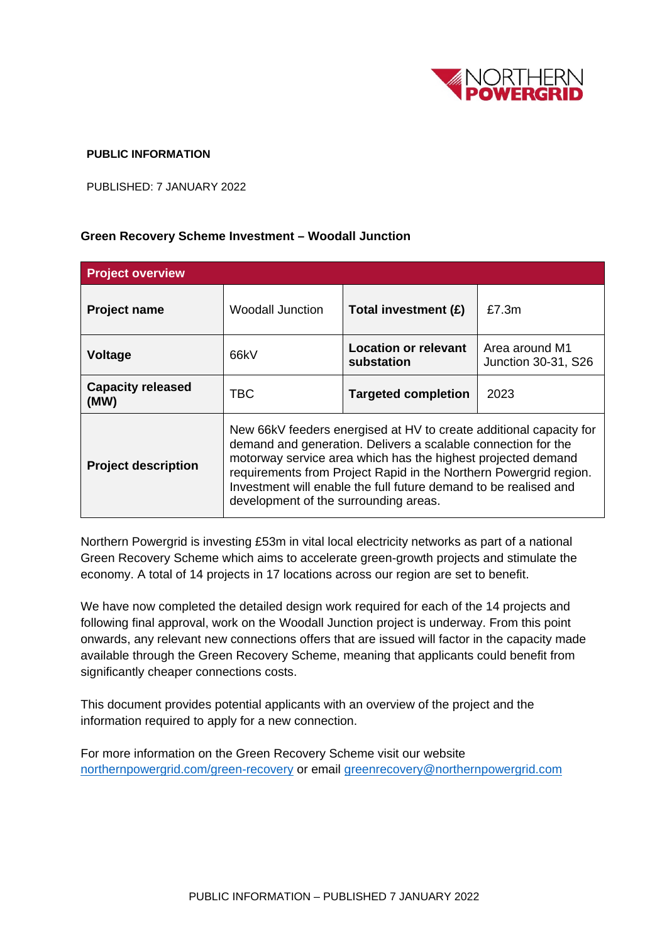

## **PUBLIC INFORMATION**

PUBLISHED: 7 JANUARY 2022

## **Green Recovery Scheme Investment – Woodall Junction**

| <b>Project overview</b>          |                                                                                                                                                                                                                                                                                                                                                                                       |                                           |                                       |
|----------------------------------|---------------------------------------------------------------------------------------------------------------------------------------------------------------------------------------------------------------------------------------------------------------------------------------------------------------------------------------------------------------------------------------|-------------------------------------------|---------------------------------------|
| <b>Project name</b>              | <b>Woodall Junction</b>                                                                                                                                                                                                                                                                                                                                                               | Total investment (£)                      | £7.3m                                 |
| <b>Voltage</b>                   | 66kV                                                                                                                                                                                                                                                                                                                                                                                  | <b>Location or relevant</b><br>substation | Area around M1<br>Junction 30-31, S26 |
| <b>Capacity released</b><br>(MW) | TBC                                                                                                                                                                                                                                                                                                                                                                                   | <b>Targeted completion</b>                | 2023                                  |
| <b>Project description</b>       | New 66kV feeders energised at HV to create additional capacity for<br>demand and generation. Delivers a scalable connection for the<br>motorway service area which has the highest projected demand<br>requirements from Project Rapid in the Northern Powergrid region.<br>Investment will enable the full future demand to be realised and<br>development of the surrounding areas. |                                           |                                       |

Northern Powergrid is investing £53m in vital local electricity networks as part of a national Green Recovery Scheme which aims to accelerate green-growth projects and stimulate the economy. A total of 14 projects in 17 locations across our region are set to benefit.

We have now completed the detailed design work required for each of the 14 projects and following final approval, work on the Woodall Junction project is underway. From this point onwards, any relevant new connections offers that are issued will factor in the capacity made available through the Green Recovery Scheme, meaning that applicants could benefit from significantly cheaper connections costs.

This document provides potential applicants with an overview of the project and the information required to apply for a new connection.

For more information on the Green Recovery Scheme visit our website [northernpowergrid.com/green-recovery](mailto:northernpowergrid.com/green-recovery) or email [greenrecovery@northernpowergrid.com](mailto:greenrecovery@northernpowergrid.com)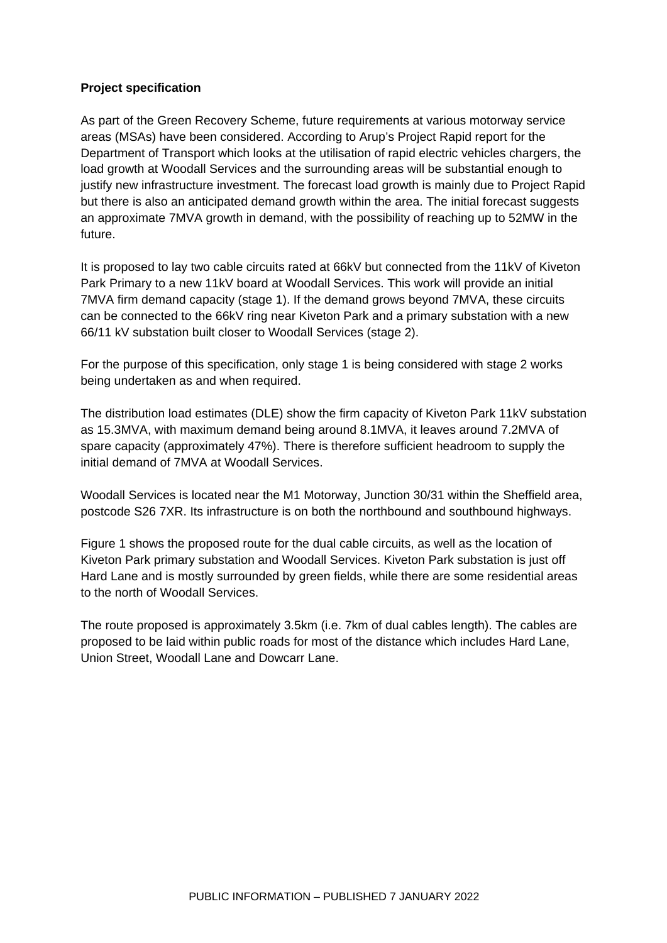## **Project specification**

As part of the Green Recovery Scheme, future requirements at various motorway service areas (MSAs) have been considered. According to Arup's Project Rapid report for the Department of Transport which looks at the utilisation of rapid electric vehicles chargers, the load growth at Woodall Services and the surrounding areas will be substantial enough to justify new infrastructure investment. The forecast load growth is mainly due to Project Rapid but there is also an anticipated demand growth within the area. The initial forecast suggests an approximate 7MVA growth in demand, with the possibility of reaching up to 52MW in the future.

It is proposed to lay two cable circuits rated at 66kV but connected from the 11kV of Kiveton Park Primary to a new 11kV board at Woodall Services. This work will provide an initial 7MVA firm demand capacity (stage 1). If the demand grows beyond 7MVA, these circuits can be connected to the 66kV ring near Kiveton Park and a primary substation with a new 66/11 kV substation built closer to Woodall Services (stage 2).

For the purpose of this specification, only stage 1 is being considered with stage 2 works being undertaken as and when required.

The distribution load estimates (DLE) show the firm capacity of Kiveton Park 11kV substation as 15.3MVA, with maximum demand being around 8.1MVA, it leaves around 7.2MVA of spare capacity (approximately 47%). There is therefore sufficient headroom to supply the initial demand of 7MVA at Woodall Services.

Woodall Services is located near the M1 Motorway, Junction 30/31 within the Sheffield area, postcode S26 7XR. Its infrastructure is on both the northbound and southbound highways.

Figure 1 shows the proposed route for the dual cable circuits, as well as the location of Kiveton Park primary substation and Woodall Services. Kiveton Park substation is just off Hard Lane and is mostly surrounded by green fields, while there are some residential areas to the north of Woodall Services.

The route proposed is approximately 3.5km (i.e. 7km of dual cables length). The cables are proposed to be laid within public roads for most of the distance which includes Hard Lane, Union Street, Woodall Lane and Dowcarr Lane.